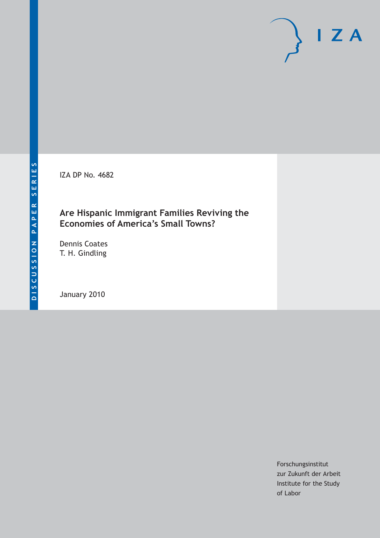$I Z A$ 

IZA DP No. 4682

# **Are Hispanic Immigrant Families Reviving the Economies of America's Small Towns?**

Dennis Coates T. H. Gindling

January 2010

Forschungsinstitut zur Zukunft der Arbeit Institute for the Study of Labor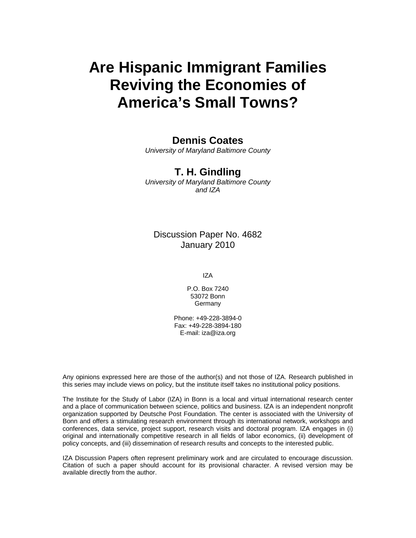# **Are Hispanic Immigrant Families Reviving the Economies of America's Small Towns?**

# **Dennis Coates**

*University of Maryland Baltimore County* 

# **T. H. Gindling**

*University of Maryland Baltimore County and IZA* 

# Discussion Paper No. 4682 January 2010

IZA

P.O. Box 7240 53072 Bonn **Germany** 

Phone: +49-228-3894-0 Fax: +49-228-3894-180 E-mail: iza@iza.org

Any opinions expressed here are those of the author(s) and not those of IZA. Research published in this series may include views on policy, but the institute itself takes no institutional policy positions.

The Institute for the Study of Labor (IZA) in Bonn is a local and virtual international research center and a place of communication between science, politics and business. IZA is an independent nonprofit organization supported by Deutsche Post Foundation. The center is associated with the University of Bonn and offers a stimulating research environment through its international network, workshops and conferences, data service, project support, research visits and doctoral program. IZA engages in (i) original and internationally competitive research in all fields of labor economics, (ii) development of policy concepts, and (iii) dissemination of research results and concepts to the interested public.

IZA Discussion Papers often represent preliminary work and are circulated to encourage discussion. Citation of such a paper should account for its provisional character. A revised version may be available directly from the author.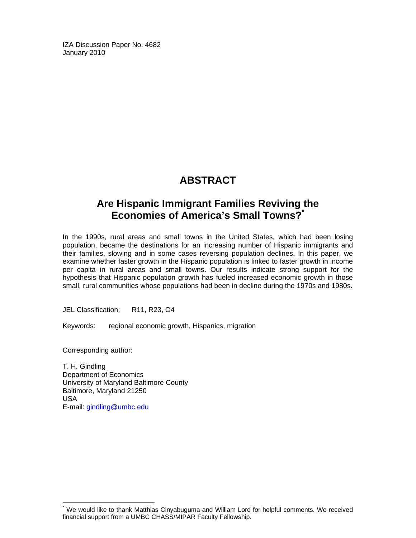IZA Discussion Paper No. 4682 January 2010

# **ABSTRACT**

# **Are Hispanic Immigrant Families Reviving the Economies of America's Small Towns?\***

In the 1990s, rural areas and small towns in the United States, which had been losing population, became the destinations for an increasing number of Hispanic immigrants and their families, slowing and in some cases reversing population declines. In this paper, we examine whether faster growth in the Hispanic population is linked to faster growth in income per capita in rural areas and small towns. Our results indicate strong support for the hypothesis that Hispanic population growth has fueled increased economic growth in those small, rural communities whose populations had been in decline during the 1970s and 1980s.

JEL Classification: R11, R23, O4

Keywords: regional economic growth, Hispanics, migration

Corresponding author:

-

T. H. Gindling Department of Economics University of Maryland Baltimore County Baltimore, Maryland 21250 USA E-mail: gindling@umbc.edu

<sup>\*</sup> We would like to thank Matthias Cinyabuguma and William Lord for helpful comments. We received financial support from a UMBC CHASS/MIPAR Faculty Fellowship.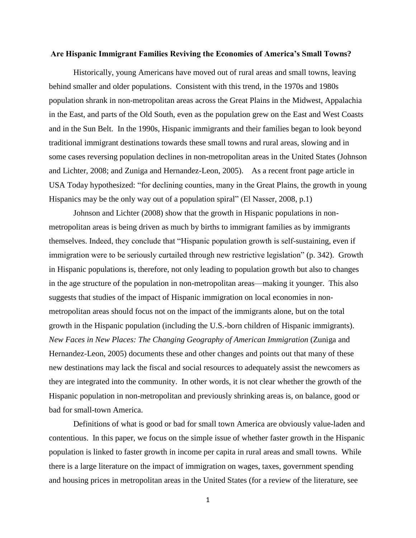#### **Are Hispanic Immigrant Families Reviving the Economies of America's Small Towns?**

Historically, young Americans have moved out of rural areas and small towns, leaving behind smaller and older populations. Consistent with this trend, in the 1970s and 1980s population shrank in non-metropolitan areas across the Great Plains in the Midwest, Appalachia in the East, and parts of the Old South, even as the population grew on the East and West Coasts and in the Sun Belt. In the 1990s, Hispanic immigrants and their families began to look beyond traditional immigrant destinations towards these small towns and rural areas, slowing and in some cases reversing population declines in non-metropolitan areas in the United States (Johnson and Lichter, 2008; and Zuniga and Hernandez-Leon, 2005). As a recent front page article in USA Today hypothesized: "for declining counties, many in the Great Plains, the growth in young Hispanics may be the only way out of a population spiral" (El Nasser, 2008, p.1)

Johnson and Lichter (2008) show that the growth in Hispanic populations in nonmetropolitan areas is being driven as much by births to immigrant families as by immigrants themselves. Indeed, they conclude that "Hispanic population growth is self-sustaining, even if immigration were to be seriously curtailed through new restrictive legislation" (p. 342). Growth in Hispanic populations is, therefore, not only leading to population growth but also to changes in the age structure of the population in non-metropolitan areas—making it younger. This also suggests that studies of the impact of Hispanic immigration on local economies in nonmetropolitan areas should focus not on the impact of the immigrants alone, but on the total growth in the Hispanic population (including the U.S.-born children of Hispanic immigrants). *New Faces in New Places: The Changing Geography of American Immigration* (Zuniga and Hernandez-Leon, 2005) documents these and other changes and points out that many of these new destinations may lack the fiscal and social resources to adequately assist the newcomers as they are integrated into the community. In other words, it is not clear whether the growth of the Hispanic population in non-metropolitan and previously shrinking areas is, on balance, good or bad for small-town America.

Definitions of what is good or bad for small town America are obviously value-laden and contentious. In this paper, we focus on the simple issue of whether faster growth in the Hispanic population is linked to faster growth in income per capita in rural areas and small towns. While there is a large literature on the impact of immigration on wages, taxes, government spending and housing prices in metropolitan areas in the United States (for a review of the literature, see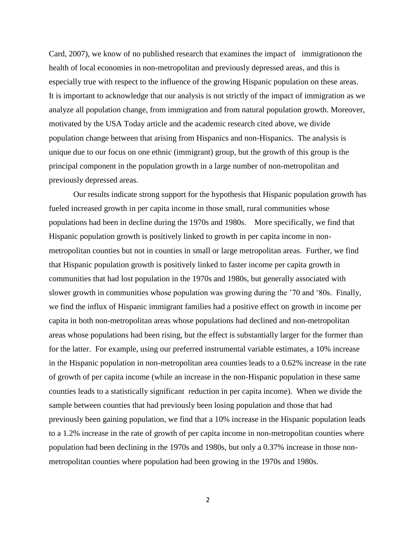Card, 2007), we know of no published research that examines the impact of immigrationon the health of local economies in non-metropolitan and previously depressed areas, and this is especially true with respect to the influence of the growing Hispanic population on these areas. It is important to acknowledge that our analysis is not strictly of the impact of immigration as we analyze all population change, from immigration and from natural population growth. Moreover, motivated by the USA Today article and the academic research cited above, we divide population change between that arising from Hispanics and non-Hispanics. The analysis is unique due to our focus on one ethnic (immigrant) group, but the growth of this group is the principal component in the population growth in a large number of non-metropolitan and previously depressed areas.

Our results indicate strong support for the hypothesis that Hispanic population growth has fueled increased growth in per capita income in those small, rural communities whose populations had been in decline during the 1970s and 1980s. More specifically, we find that Hispanic population growth is positively linked to growth in per capita income in nonmetropolitan counties but not in counties in small or large metropolitan areas. Further, we find that Hispanic population growth is positively linked to faster income per capita growth in communities that had lost population in the 1970s and 1980s, but generally associated with slower growth in communities whose population was growing during the '70 and '80s. Finally, we find the influx of Hispanic immigrant families had a positive effect on growth in income per capita in both non-metropolitan areas whose populations had declined and non-metropolitan areas whose populations had been rising, but the effect is substantially larger for the former than for the latter. For example, using our preferred instrumental variable estimates, a 10% increase in the Hispanic population in non-metropolitan area counties leads to a 0.62% increase in the rate of growth of per capita income (while an increase in the non-Hispanic population in these same counties leads to a statistically significant reduction in per capita income). When we divide the sample between counties that had previously been losing population and those that had previously been gaining population, we find that a 10% increase in the Hispanic population leads to a 1.2% increase in the rate of growth of per capita income in non-metropolitan counties where population had been declining in the 1970s and 1980s, but only a 0.37% increase in those nonmetropolitan counties where population had been growing in the 1970s and 1980s.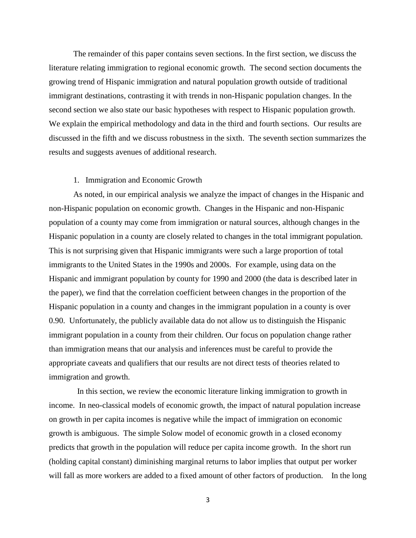The remainder of this paper contains seven sections. In the first section, we discuss the literature relating immigration to regional economic growth. The second section documents the growing trend of Hispanic immigration and natural population growth outside of traditional immigrant destinations, contrasting it with trends in non-Hispanic population changes. In the second section we also state our basic hypotheses with respect to Hispanic population growth. We explain the empirical methodology and data in the third and fourth sections. Our results are discussed in the fifth and we discuss robustness in the sixth. The seventh section summarizes the results and suggests avenues of additional research.

#### 1. Immigration and Economic Growth

As noted, in our empirical analysis we analyze the impact of changes in the Hispanic and non-Hispanic population on economic growth. Changes in the Hispanic and non-Hispanic population of a county may come from immigration or natural sources, although changes in the Hispanic population in a county are closely related to changes in the total immigrant population. This is not surprising given that Hispanic immigrants were such a large proportion of total immigrants to the United States in the 1990s and 2000s. For example, using data on the Hispanic and immigrant population by county for 1990 and 2000 (the data is described later in the paper), we find that the correlation coefficient between changes in the proportion of the Hispanic population in a county and changes in the immigrant population in a county is over 0.90. Unfortunately, the publicly available data do not allow us to distinguish the Hispanic immigrant population in a county from their children. Our focus on population change rather than immigration means that our analysis and inferences must be careful to provide the appropriate caveats and qualifiers that our results are not direct tests of theories related to immigration and growth.

 In this section, we review the economic literature linking immigration to growth in income. In neo-classical models of economic growth, the impact of natural population increase on growth in per capita incomes is negative while the impact of immigration on economic growth is ambiguous. The simple Solow model of economic growth in a closed economy predicts that growth in the population will reduce per capita income growth. In the short run (holding capital constant) diminishing marginal returns to labor implies that output per worker will fall as more workers are added to a fixed amount of other factors of production. In the long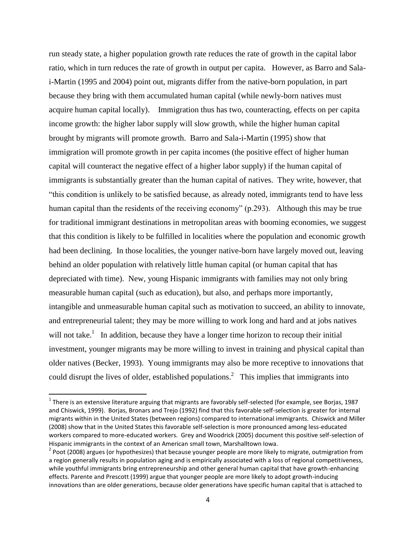run steady state, a higher population growth rate reduces the rate of growth in the capital labor ratio, which in turn reduces the rate of growth in output per capita. However, as Barro and Salai-Martin (1995 and 2004) point out, migrants differ from the native-born population, in part because they bring with them accumulated human capital (while newly-born natives must acquire human capital locally). Immigration thus has two, counteracting, effects on per capita income growth: the higher labor supply will slow growth, while the higher human capital brought by migrants will promote growth. Barro and Sala-i-Martin (1995) show that immigration will promote growth in per capita incomes (the positive effect of higher human capital will counteract the negative effect of a higher labor supply) if the human capital of immigrants is substantially greater than the human capital of natives. They write, however, that ―this condition is unlikely to be satisfied because, as already noted, immigrants tend to have less human capital than the residents of the receiving economy"  $(p.293)$ . Although this may be true for traditional immigrant destinations in metropolitan areas with booming economies, we suggest that this condition is likely to be fulfilled in localities where the population and economic growth had been declining. In those localities, the younger native-born have largely moved out, leaving behind an older population with relatively little human capital (or human capital that has depreciated with time). New, young Hispanic immigrants with families may not only bring measurable human capital (such as education), but also, and perhaps more importantly, intangible and unmeasurable human capital such as motivation to succeed, an ability to innovate, and entrepreneurial talent; they may be more willing to work long and hard and at jobs natives will not take.<sup>1</sup> In addition, because they have a longer time horizon to recoup their initial investment, younger migrants may be more willing to invest in training and physical capital than older natives (Becker, 1993). Young immigrants may also be more receptive to innovations that could disrupt the lives of older, established populations.<sup>2</sup> This implies that immigrants into

 $\overline{a}$ 

 $^1$  There is an extensive literature arguing that migrants are favorably self-selected (for example, see Borjas, 1987 and Chiswick, 1999). Borjas, Bronars and Trejo (1992) find that this favorable self-selection is greater for internal migrants within in the United States (between regions) compared to international immigrants. Chiswick and Miller (2008) show that in the United States this favorable self-selection is more pronounced among less-educated workers compared to more-educated workers. Grey and Woodrick (2005) document this positive self-selection of Hispanic immigrants in the context of an American small town, Marshalltown Iowa.

 $2$  Poot (2008) argues (or hypothesizes) that because younger people are more likely to migrate, outmigration from a region generally results in population aging and is empirically associated with a loss of regional competitiveness, while youthful immigrants bring entrepreneurship and other general human capital that have growth-enhancing effects. Parente and Prescott (1999) argue that younger people are more likely to adopt growth-inducing innovations than are older generations, because older generations have specific human capital that is attached to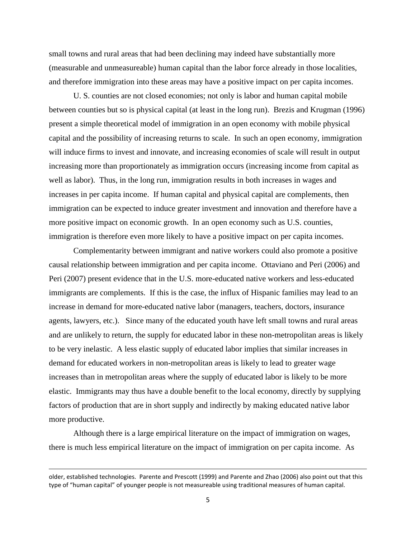small towns and rural areas that had been declining may indeed have substantially more (measurable and unmeasureable) human capital than the labor force already in those localities, and therefore immigration into these areas may have a positive impact on per capita incomes.

U. S. counties are not closed economies; not only is labor and human capital mobile between counties but so is physical capital (at least in the long run). Brezis and Krugman (1996) present a simple theoretical model of immigration in an open economy with mobile physical capital and the possibility of increasing returns to scale. In such an open economy, immigration will induce firms to invest and innovate, and increasing economies of scale will result in output increasing more than proportionately as immigration occurs (increasing income from capital as well as labor). Thus, in the long run, immigration results in both increases in wages and increases in per capita income. If human capital and physical capital are complements, then immigration can be expected to induce greater investment and innovation and therefore have a more positive impact on economic growth. In an open economy such as U.S. counties, immigration is therefore even more likely to have a positive impact on per capita incomes.

Complementarity between immigrant and native workers could also promote a positive causal relationship between immigration and per capita income. Ottaviano and Peri (2006) and Peri (2007) present evidence that in the U.S. more-educated native workers and less-educated immigrants are complements. If this is the case, the influx of Hispanic families may lead to an increase in demand for more-educated native labor (managers, teachers, doctors, insurance agents, lawyers, etc.). Since many of the educated youth have left small towns and rural areas and are unlikely to return, the supply for educated labor in these non-metropolitan areas is likely to be very inelastic. A less elastic supply of educated labor implies that similar increases in demand for educated workers in non-metropolitan areas is likely to lead to greater wage increases than in metropolitan areas where the supply of educated labor is likely to be more elastic. Immigrants may thus have a double benefit to the local economy, directly by supplying factors of production that are in short supply and indirectly by making educated native labor more productive.

Although there is a large empirical literature on the impact of immigration on wages, there is much less empirical literature on the impact of immigration on per capita income. As

l

older, established technologies. Parente and Prescott (1999) and Parente and Zhao (2006) also point out that this type of "human capital" of younger people is not measureable using traditional measures of human capital.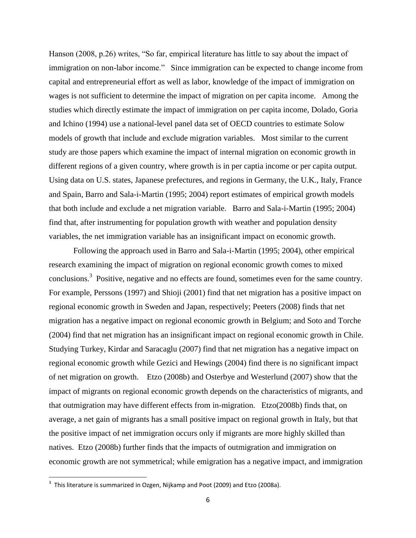Hanson  $(2008, p.26)$  writes, "So far, empirical literature has little to say about the impact of immigration on non-labor income." Since immigration can be expected to change income from capital and entrepreneurial effort as well as labor, knowledge of the impact of immigration on wages is not sufficient to determine the impact of migration on per capita income. Among the studies which directly estimate the impact of immigration on per capita income, Dolado, Goria and Ichino (1994) use a national-level panel data set of OECD countries to estimate Solow models of growth that include and exclude migration variables. Most similar to the current study are those papers which examine the impact of internal migration on economic growth in different regions of a given country, where growth is in per captia income or per capita output. Using data on U.S. states, Japanese prefectures, and regions in Germany, the U.K., Italy, France and Spain, Barro and Sala-i-Martin (1995; 2004) report estimates of empirical growth models that both include and exclude a net migration variable. Barro and Sala-i-Martin (1995; 2004) find that, after instrumenting for population growth with weather and population density variables, the net immigration variable has an insignificant impact on economic growth.

Following the approach used in Barro and Sala-i-Martin (1995; 2004), other empirical research examining the impact of migration on regional economic growth comes to mixed conclusions.<sup>3</sup> Positive, negative and no effects are found, sometimes even for the same country. For example, Perssons (1997) and Shioji (2001) find that net migration has a positive impact on regional economic growth in Sweden and Japan, respectively; Peeters (2008) finds that net migration has a negative impact on regional economic growth in Belgium; and Soto and Torche (2004) find that net migration has an insignificant impact on regional economic growth in Chile. Studying Turkey, Kirdar and Saracaglu (2007) find that net migration has a negative impact on regional economic growth while Gezici and Hewings (2004) find there is no significant impact of net migration on growth. Etzo (2008b) and Osterbye and Westerlund (2007) show that the impact of migrants on regional economic growth depends on the characteristics of migrants, and that outmigration may have different effects from in-migration. Etzo(2008b) finds that, on average, a net gain of migrants has a small positive impact on regional growth in Italy, but that the positive impact of net immigration occurs only if migrants are more highly skilled than natives. Etzo (2008b) further finds that the impacts of outmigration and immigration on economic growth are not symmetrical; while emigration has a negative impact, and immigration

 $\overline{\phantom{a}}$ 

 $^3$  This literature is summarized in Ozgen, Nijkamp and Poot (2009) and Etzo (2008a).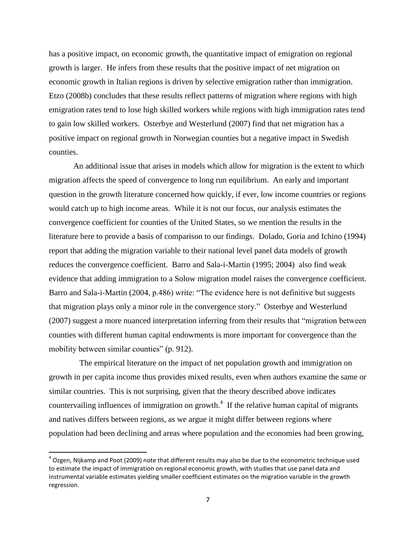has a positive impact, on economic growth, the quantitative impact of emigration on regional growth is larger. He infers from these results that the positive impact of net migration on economic growth in Italian regions is driven by selective emigration rather than immigration. Etzo (2008b) concludes that these results reflect patterns of migration where regions with high emigration rates tend to lose high skilled workers while regions with high immigration rates tend to gain low skilled workers. Osterbye and Westerlund (2007) find that net migration has a positive impact on regional growth in Norwegian counties but a negative impact in Swedish counties.

An additional issue that arises in models which allow for migration is the extent to which migration affects the speed of convergence to long run equilibrium. An early and important question in the growth literature concerned how quickly, if ever, low income countries or regions would catch up to high income areas. While it is not our focus, our analysis estimates the convergence coefficient for counties of the United States, so we mention the results in the literature here to provide a basis of comparison to our findings. Dolado, Goria and Ichino (1994) report that adding the migration variable to their national level panel data models of growth reduces the convergence coefficient. Barro and Sala-i-Martin (1995; 2004) also find weak evidence that adding immigration to a Solow migration model raises the convergence coefficient. Barro and Sala-i-Martin (2004, p.486) write: "The evidence here is not definitive but suggests that migration plays only a minor role in the convergence story." Osterbye and Westerlund (2007) suggest a more nuanced interpretation inferring from their results that "migration between counties with different human capital endowments is more important for convergence than the mobility between similar counties" (p. 912).

 The empirical literature on the impact of net population growth and immigration on growth in per capita income thus provides mixed results, even when authors examine the same or similar countries. This is not surprising, given that the theory described above indicates countervailing influences of immigration on growth.<sup>4</sup> If the relative human capital of migrants and natives differs between regions, as we argue it might differ between regions where population had been declining and areas where population and the economies had been growing,

 $\overline{a}$ 

 $^4$  Ozgen, Nijkamp and Poot (2009) note that different results may also be due to the econometric technique used to estimate the impact of immigration on regional economic growth, with studies that use panel data and instrumental variable estimates yielding smaller coefficient estimates on the migration variable in the growth regression.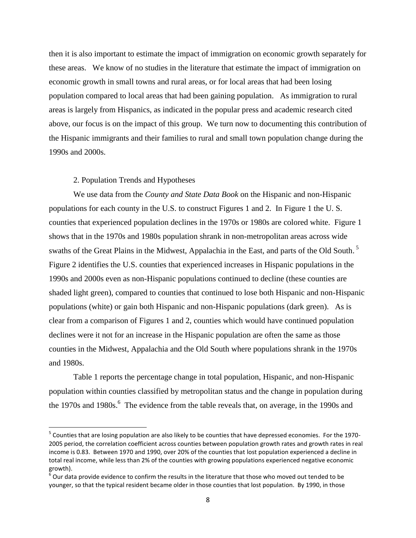then it is also important to estimate the impact of immigration on economic growth separately for these areas. We know of no studies in the literature that estimate the impact of immigration on economic growth in small towns and rural areas, or for local areas that had been losing population compared to local areas that had been gaining population. As immigration to rural areas is largely from Hispanics, as indicated in the popular press and academic research cited above, our focus is on the impact of this group. We turn now to documenting this contribution of the Hispanic immigrants and their families to rural and small town population change during the 1990s and 2000s.

#### 2. Population Trends and Hypotheses

 $\overline{\phantom{a}}$ 

We use data from the *County and State Data Book* on the Hispanic and non-Hispanic populations for each county in the U.S. to construct Figures 1 and 2. In Figure 1 the U. S. counties that experienced population declines in the 1970s or 1980s are colored white. Figure 1 shows that in the 1970s and 1980s population shrank in non-metropolitan areas across wide swaths of the Great Plains in the Midwest, Appalachia in the East, and parts of the Old South.<sup>5</sup> Figure 2 identifies the U.S. counties that experienced increases in Hispanic populations in the 1990s and 2000s even as non-Hispanic populations continued to decline (these counties are shaded light green), compared to counties that continued to lose both Hispanic and non-Hispanic populations (white) or gain both Hispanic and non-Hispanic populations (dark green). As is clear from a comparison of Figures 1 and 2, counties which would have continued population declines were it not for an increase in the Hispanic population are often the same as those counties in the Midwest, Appalachia and the Old South where populations shrank in the 1970s and 1980s.

Table 1 reports the percentage change in total population, Hispanic, and non-Hispanic population within counties classified by metropolitan status and the change in population during the 1970s and 1980s.<sup>6</sup> The evidence from the table reveals that, on average, in the 1990s and

<sup>&</sup>lt;sup>5</sup> Counties that are losing population are also likely to be counties that have depressed economies. For the 1970-2005 period, the correlation coefficient across counties between population growth rates and growth rates in real income is 0.83. Between 1970 and 1990, over 20% of the counties that lost population experienced a decline in total real income, while less than 2% of the counties with growing populations experienced negative economic growth).

 $^6$  Our data provide evidence to confirm the results in the literature that those who moved out tended to be younger, so that the typical resident became older in those counties that lost population. By 1990, in those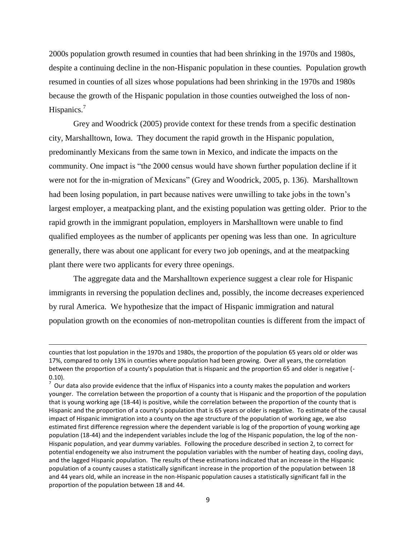2000s population growth resumed in counties that had been shrinking in the 1970s and 1980s, despite a continuing decline in the non-Hispanic population in these counties. Population growth resumed in counties of all sizes whose populations had been shrinking in the 1970s and 1980s because the growth of the Hispanic population in those counties outweighed the loss of non-Hispanics.<sup>7</sup>

Grey and Woodrick (2005) provide context for these trends from a specific destination city, Marshalltown, Iowa. They document the rapid growth in the Hispanic population, predominantly Mexicans from the same town in Mexico, and indicate the impacts on the community. One impact is "the 2000 census would have shown further population decline if it were not for the in-migration of Mexicans" (Grey and Woodrick, 2005, p. 136). Marshalltown had been losing population, in part because natives were unwilling to take jobs in the town's largest employer, a meatpacking plant, and the existing population was getting older. Prior to the rapid growth in the immigrant population, employers in Marshalltown were unable to find qualified employees as the number of applicants per opening was less than one. In agriculture generally, there was about one applicant for every two job openings, and at the meatpacking plant there were two applicants for every three openings.

The aggregate data and the Marshalltown experience suggest a clear role for Hispanic immigrants in reversing the population declines and, possibly, the income decreases experienced by rural America. We hypothesize that the impact of Hispanic immigration and natural population growth on the economies of non-metropolitan counties is different from the impact of

 $\overline{\phantom{a}}$ 

counties that lost population in the 1970s and 1980s, the proportion of the population 65 years old or older was 17%, compared to only 13% in counties where population had been growing. Over all years, the correlation between the proportion of a county's population that is Hispanic and the proportion 65 and older is negative (- 0.10).

 $^7$  Our data also provide evidence that the influx of Hispanics into a county makes the population and workers younger. The correlation between the proportion of a county that is Hispanic and the proportion of the population that is young working age (18-44) is positive, while the correlation between the proportion of the county that is Hispanic and the proportion of a county's population that is 65 years or older is negative. To estimate of the causal impact of Hispanic immigration into a county on the age structure of the population of working age, we also estimated first difference regression where the dependent variable is log of the proportion of young working age population (18-44) and the independent variables include the log of the Hispanic population, the log of the non-Hispanic population, and year dummy variables. Following the procedure described in section 2, to correct for potential endogeneity we also instrument the population variables with the number of heating days, cooling days, and the lagged Hispanic population. The results of these estimations indicated that an increase in the Hispanic population of a county causes a statistically significant increase in the proportion of the population between 18 and 44 years old, while an increase in the non-Hispanic population causes a statistically significant fall in the proportion of the population between 18 and 44.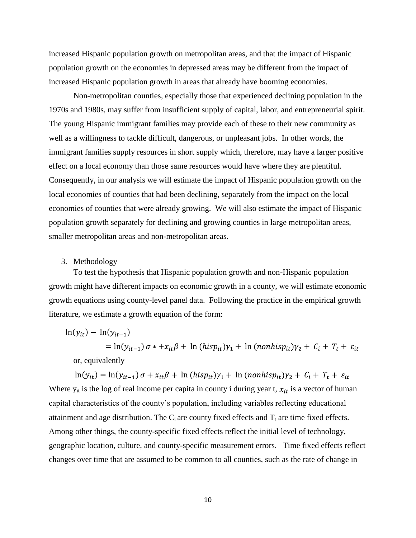increased Hispanic population growth on metropolitan areas, and that the impact of Hispanic population growth on the economies in depressed areas may be different from the impact of increased Hispanic population growth in areas that already have booming economies.

Non-metropolitan counties, especially those that experienced declining population in the 1970s and 1980s, may suffer from insufficient supply of capital, labor, and entrepreneurial spirit. The young Hispanic immigrant families may provide each of these to their new community as well as a willingness to tackle difficult, dangerous, or unpleasant jobs. In other words, the immigrant families supply resources in short supply which, therefore, may have a larger positive effect on a local economy than those same resources would have where they are plentiful. Consequently, in our analysis we will estimate the impact of Hispanic population growth on the local economies of counties that had been declining, separately from the impact on the local economies of counties that were already growing. We will also estimate the impact of Hispanic population growth separately for declining and growing counties in large metropolitan areas, smaller metropolitan areas and non-metropolitan areas.

# 3. Methodology

To test the hypothesis that Hispanic population growth and non-Hispanic population growth might have different impacts on economic growth in a county, we will estimate economic growth equations using county-level panel data. Following the practice in the empirical growth literature, we estimate a growth equation of the form:

$$
\ln(y_{it}) - \ln(y_{it-1})
$$
  
=  $\ln(y_{it-1}) \sigma * +x_{it}\beta + \ln(hisp_{it})\gamma_1 + \ln(nonhisp_{it})\gamma_2 + C_i + T_t + \varepsilon_{it}$   
or, equivalently

 $\ln(y_{it}) = \ln(y_{it-1}) \sigma + x_{it} \beta + \ln(hisp_{it}) \gamma_1 + \ln(nonhisp_{it}) \gamma_2 + C_i + T_t + \varepsilon_{it}$ Where  $y_{it}$  is the log of real income per capita in county i during year t,  $x_{it}$  is a vector of human capital characteristics of the county's population, including variables reflecting educational attainment and age distribution. The  $C_i$  are county fixed effects and  $T_t$  are time fixed effects. Among other things, the county-specific fixed effects reflect the initial level of technology, geographic location, culture, and county-specific measurement errors. Time fixed effects reflect changes over time that are assumed to be common to all counties, such as the rate of change in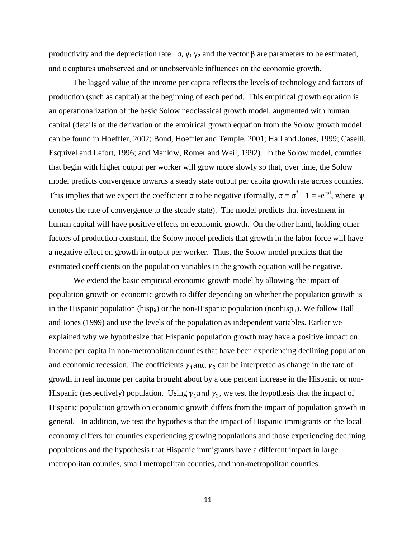productivity and the depreciation rate.  $\sigma$ ,  $\gamma_1$   $\gamma_2$  and the vector β are parameters to be estimated, and ε captures unobserved and or unobservable influences on the economic growth.

The lagged value of the income per capita reflects the levels of technology and factors of production (such as capital) at the beginning of each period. This empirical growth equation is an operationalization of the basic Solow neoclassical growth model, augmented with human capital (details of the derivation of the empirical growth equation from the Solow growth model can be found in Hoeffler, 2002; Bond, Hoeffler and Temple, 2001; Hall and Jones, 1999; Caselli, Esquivel and Lefort, 1996; and Mankiw, Romer and Weil, 1992). In the Solow model, counties that begin with higher output per worker will grow more slowly so that, over time, the Solow model predicts convergence towards a steady state output per capita growth rate across counties. This implies that we expect the coefficient  $\sigma$  to be negative (formally,  $\sigma = \sigma^* + 1 = -e^{-\psi t}$ , where  $\psi$ denotes the rate of convergence to the steady state). The model predicts that investment in human capital will have positive effects on economic growth. On the other hand, holding other factors of production constant, the Solow model predicts that growth in the labor force will have a negative effect on growth in output per worker. Thus, the Solow model predicts that the estimated coefficients on the population variables in the growth equation will be negative.

We extend the basic empirical economic growth model by allowing the impact of population growth on economic growth to differ depending on whether the population growth is in the Hispanic population (hisp<sub>it</sub>) or the non-Hispanic population (nonhisp<sub>it</sub>). We follow Hall and Jones (1999) and use the levels of the population as independent variables. Earlier we explained why we hypothesize that Hispanic population growth may have a positive impact on income per capita in non-metropolitan counties that have been experiencing declining population and economic recession. The coefficients  $\gamma_1$  and  $\gamma_2$  can be interpreted as change in the rate of growth in real income per capita brought about by a one percent increase in the Hispanic or non-Hispanic (respectively) population. Using  $\gamma_1$  and  $\gamma_2$ , we test the hypothesis that the impact of Hispanic population growth on economic growth differs from the impact of population growth in general. In addition, we test the hypothesis that the impact of Hispanic immigrants on the local economy differs for counties experiencing growing populations and those experiencing declining populations and the hypothesis that Hispanic immigrants have a different impact in large metropolitan counties, small metropolitan counties, and non-metropolitan counties.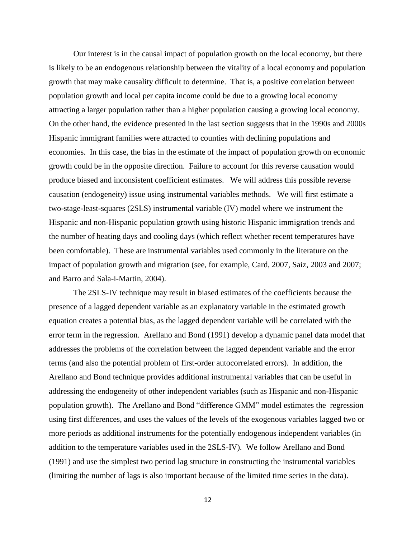Our interest is in the causal impact of population growth on the local economy, but there is likely to be an endogenous relationship between the vitality of a local economy and population growth that may make causality difficult to determine. That is, a positive correlation between population growth and local per capita income could be due to a growing local economy attracting a larger population rather than a higher population causing a growing local economy. On the other hand, the evidence presented in the last section suggests that in the 1990s and 2000s Hispanic immigrant families were attracted to counties with declining populations and economies. In this case, the bias in the estimate of the impact of population growth on economic growth could be in the opposite direction. Failure to account for this reverse causation would produce biased and inconsistent coefficient estimates. We will address this possible reverse causation (endogeneity) issue using instrumental variables methods. We will first estimate a two-stage-least-squares (2SLS) instrumental variable (IV) model where we instrument the Hispanic and non-Hispanic population growth using historic Hispanic immigration trends and the number of heating days and cooling days (which reflect whether recent temperatures have been comfortable). These are instrumental variables used commonly in the literature on the impact of population growth and migration (see, for example, Card, 2007, Saiz, 2003 and 2007; and Barro and Sala-i-Martin, 2004).

The 2SLS-IV technique may result in biased estimates of the coefficients because the presence of a lagged dependent variable as an explanatory variable in the estimated growth equation creates a potential bias, as the lagged dependent variable will be correlated with the error term in the regression. Arellano and Bond (1991) develop a dynamic panel data model that addresses the problems of the correlation between the lagged dependent variable and the error terms (and also the potential problem of first-order autocorrelated errors). In addition, the Arellano and Bond technique provides additional instrumental variables that can be useful in addressing the endogeneity of other independent variables (such as Hispanic and non-Hispanic population growth). The Arellano and Bond "difference GMM" model estimates the regression using first differences, and uses the values of the levels of the exogenous variables lagged two or more periods as additional instruments for the potentially endogenous independent variables (in addition to the temperature variables used in the 2SLS-IV). We follow Arellano and Bond (1991) and use the simplest two period lag structure in constructing the instrumental variables (limiting the number of lags is also important because of the limited time series in the data).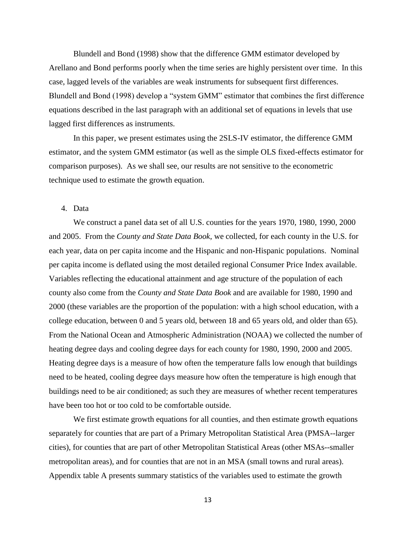Blundell and Bond (1998) show that the difference GMM estimator developed by Arellano and Bond performs poorly when the time series are highly persistent over time. In this case, lagged levels of the variables are weak instruments for subsequent first differences. Blundell and Bond (1998) develop a "system GMM" estimator that combines the first difference equations described in the last paragraph with an additional set of equations in levels that use lagged first differences as instruments.

In this paper, we present estimates using the 2SLS-IV estimator, the difference GMM estimator, and the system GMM estimator (as well as the simple OLS fixed-effects estimator for comparison purposes). As we shall see, our results are not sensitive to the econometric technique used to estimate the growth equation.

### 4. Data

We construct a panel data set of all U.S. counties for the years 1970, 1980, 1990, 2000 and 2005. From the *County and State Data Book*, we collected, for each county in the U.S. for each year, data on per capita income and the Hispanic and non-Hispanic populations. Nominal per capita income is deflated using the most detailed regional Consumer Price Index available. Variables reflecting the educational attainment and age structure of the population of each county also come from the *County and State Data Book* and are available for 1980, 1990 and 2000 (these variables are the proportion of the population: with a high school education, with a college education, between 0 and 5 years old, between 18 and 65 years old, and older than 65). From the National Ocean and Atmospheric Administration (NOAA) we collected the number of heating degree days and cooling degree days for each county for 1980, 1990, 2000 and 2005. Heating degree days is a measure of how often the temperature falls low enough that buildings need to be heated, cooling degree days measure how often the temperature is high enough that buildings need to be air conditioned; as such they are measures of whether recent temperatures have been too hot or too cold to be comfortable outside.

We first estimate growth equations for all counties, and then estimate growth equations separately for counties that are part of a Primary Metropolitan Statistical Area (PMSA--larger cities), for counties that are part of other Metropolitan Statistical Areas (other MSAs--smaller metropolitan areas), and for counties that are not in an MSA (small towns and rural areas). Appendix table A presents summary statistics of the variables used to estimate the growth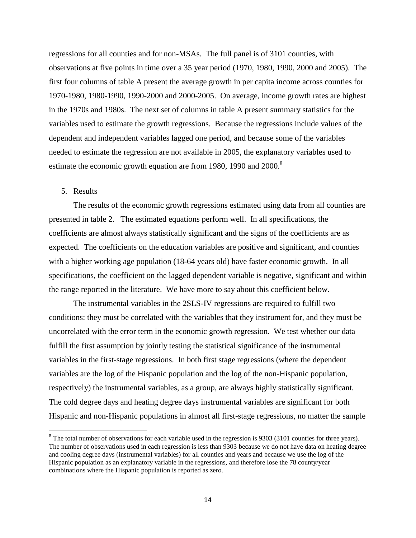regressions for all counties and for non-MSAs. The full panel is of 3101 counties, with observations at five points in time over a 35 year period (1970, 1980, 1990, 2000 and 2005). The first four columns of table A present the average growth in per capita income across counties for 1970-1980, 1980-1990, 1990-2000 and 2000-2005. On average, income growth rates are highest in the 1970s and 1980s. The next set of columns in table A present summary statistics for the variables used to estimate the growth regressions. Because the regressions include values of the dependent and independent variables lagged one period, and because some of the variables needed to estimate the regression are not available in 2005, the explanatory variables used to estimate the economic growth equation are from 1980, 1990 and  $2000$ .<sup>8</sup>

### 5. Results

 $\overline{\phantom{a}}$ 

The results of the economic growth regressions estimated using data from all counties are presented in table 2. The estimated equations perform well. In all specifications, the coefficients are almost always statistically significant and the signs of the coefficients are as expected. The coefficients on the education variables are positive and significant, and counties with a higher working age population (18-64 years old) have faster economic growth. In all specifications, the coefficient on the lagged dependent variable is negative, significant and within the range reported in the literature. We have more to say about this coefficient below.

The instrumental variables in the 2SLS-IV regressions are required to fulfill two conditions: they must be correlated with the variables that they instrument for, and they must be uncorrelated with the error term in the economic growth regression. We test whether our data fulfill the first assumption by jointly testing the statistical significance of the instrumental variables in the first-stage regressions. In both first stage regressions (where the dependent variables are the log of the Hispanic population and the log of the non-Hispanic population, respectively) the instrumental variables, as a group, are always highly statistically significant. The cold degree days and heating degree days instrumental variables are significant for both Hispanic and non-Hispanic populations in almost all first-stage regressions, no matter the sample

 $8$  The total number of observations for each variable used in the regression is 9303 (3101 counties for three years). The number of observations used in each regression is less than 9303 because we do not have data on heating degree and cooling degree days (instrumental variables) for all counties and years and because we use the log of the Hispanic population as an explanatory variable in the regressions, and therefore lose the 78 county/year combinations where the Hispanic population is reported as zero.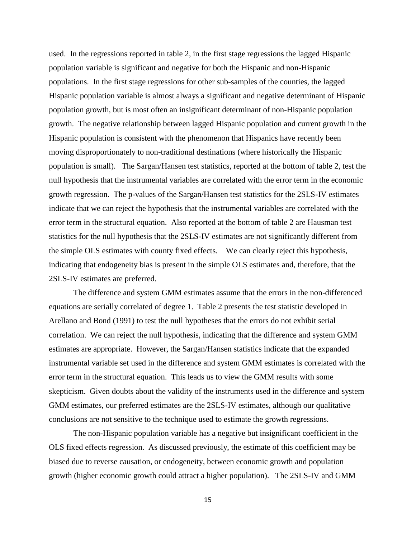used. In the regressions reported in table 2, in the first stage regressions the lagged Hispanic population variable is significant and negative for both the Hispanic and non-Hispanic populations. In the first stage regressions for other sub-samples of the counties, the lagged Hispanic population variable is almost always a significant and negative determinant of Hispanic population growth, but is most often an insignificant determinant of non-Hispanic population growth. The negative relationship between lagged Hispanic population and current growth in the Hispanic population is consistent with the phenomenon that Hispanics have recently been moving disproportionately to non-traditional destinations (where historically the Hispanic population is small). The Sargan/Hansen test statistics, reported at the bottom of table 2, test the null hypothesis that the instrumental variables are correlated with the error term in the economic growth regression. The p-values of the Sargan/Hansen test statistics for the 2SLS-IV estimates indicate that we can reject the hypothesis that the instrumental variables are correlated with the error term in the structural equation. Also reported at the bottom of table 2 are Hausman test statistics for the null hypothesis that the 2SLS-IV estimates are not significantly different from the simple OLS estimates with county fixed effects. We can clearly reject this hypothesis, indicating that endogeneity bias is present in the simple OLS estimates and, therefore, that the 2SLS-IV estimates are preferred.

The difference and system GMM estimates assume that the errors in the non-differenced equations are serially correlated of degree 1. Table 2 presents the test statistic developed in Arellano and Bond (1991) to test the null hypotheses that the errors do not exhibit serial correlation. We can reject the null hypothesis, indicating that the difference and system GMM estimates are appropriate. However, the Sargan/Hansen statistics indicate that the expanded instrumental variable set used in the difference and system GMM estimates is correlated with the error term in the structural equation. This leads us to view the GMM results with some skepticism. Given doubts about the validity of the instruments used in the difference and system GMM estimates, our preferred estimates are the 2SLS-IV estimates, although our qualitative conclusions are not sensitive to the technique used to estimate the growth regressions.

The non-Hispanic population variable has a negative but insignificant coefficient in the OLS fixed effects regression. As discussed previously, the estimate of this coefficient may be biased due to reverse causation, or endogeneity, between economic growth and population growth (higher economic growth could attract a higher population). The 2SLS-IV and GMM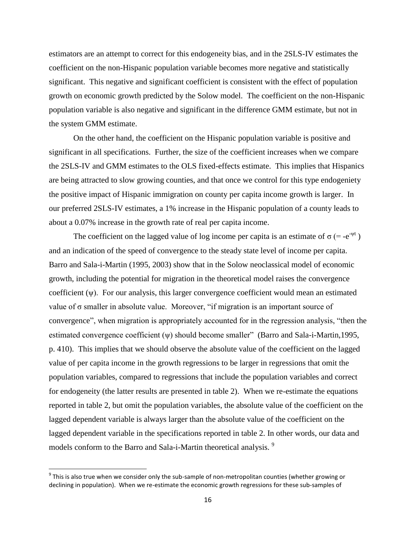estimators are an attempt to correct for this endogeneity bias, and in the 2SLS-IV estimates the coefficient on the non-Hispanic population variable becomes more negative and statistically significant. This negative and significant coefficient is consistent with the effect of population growth on economic growth predicted by the Solow model. The coefficient on the non-Hispanic population variable is also negative and significant in the difference GMM estimate, but not in the system GMM estimate.

On the other hand, the coefficient on the Hispanic population variable is positive and significant in all specifications. Further, the size of the coefficient increases when we compare the 2SLS-IV and GMM estimates to the OLS fixed-effects estimate. This implies that Hispanics are being attracted to slow growing counties, and that once we control for this type endogeniety the positive impact of Hispanic immigration on county per capita income growth is larger. In our preferred 2SLS-IV estimates, a 1% increase in the Hispanic population of a county leads to about a 0.07% increase in the growth rate of real per capita income.

The coefficient on the lagged value of log income per capita is an estimate of  $\sigma$  (= -e<sup>- $\psi$ t</sup>) and an indication of the speed of convergence to the steady state level of income per capita. Barro and Sala-i-Martin (1995, 2003) show that in the Solow neoclassical model of economic growth, including the potential for migration in the theoretical model raises the convergence coefficient (ψ). For our analysis, this larger convergence coefficient would mean an estimated value of  $\sigma$  smaller in absolute value. Moreover, "if migration is an important source of convergence", when migration is appropriately accounted for in the regression analysis, "then the estimated convergence coefficient  $(\psi)$  should become smaller" (Barro and Sala-i-Martin,1995, p. 410). This implies that we should observe the absolute value of the coefficient on the lagged value of per capita income in the growth regressions to be larger in regressions that omit the population variables, compared to regressions that include the population variables and correct for endogeneity (the latter results are presented in table 2). When we re-estimate the equations reported in table 2, but omit the population variables, the absolute value of the coefficient on the lagged dependent variable is always larger than the absolute value of the coefficient on the lagged dependent variable in the specifications reported in table 2. In other words, our data and models conform to the Barro and Sala-i-Martin theoretical analysis.<sup>9</sup>

l

 $^9$  This is also true when we consider only the sub-sample of non-metropolitan counties (whether growing or declining in population). When we re-estimate the economic growth regressions for these sub-samples of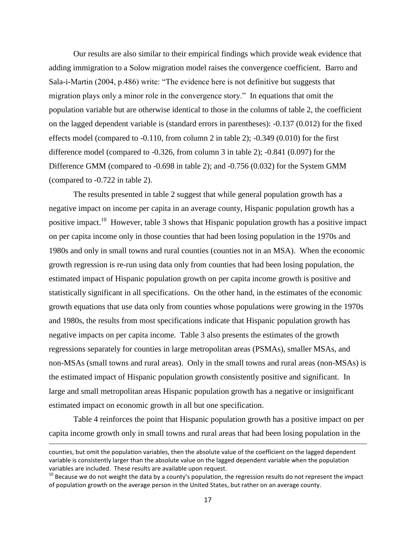Our results are also similar to their empirical findings which provide weak evidence that adding immigration to a Solow migration model raises the convergence coefficient. Barro and Sala-i-Martin (2004, p.486) write: "The evidence here is not definitive but suggests that migration plays only a minor role in the convergence story." In equations that omit the population variable but are otherwise identical to those in the columns of table 2, the coefficient on the lagged dependent variable is (standard errors in parentheses): -0.137 (0.012) for the fixed effects model (compared to -0.110, from column 2 in table 2); -0.349 (0.010) for the first difference model (compared to -0.326, from column 3 in table 2); -0.841 (0.097) for the Difference GMM (compared to -0.698 in table 2); and -0.756 (0.032) for the System GMM (compared to -0.722 in table 2).

The results presented in table 2 suggest that while general population growth has a negative impact on income per capita in an average county, Hispanic population growth has a positive impact.<sup>10</sup> However, table 3 shows that Hispanic population growth has a positive impact on per capita income only in those counties that had been losing population in the 1970s and 1980s and only in small towns and rural counties (counties not in an MSA). When the economic growth regression is re-run using data only from counties that had been losing population, the estimated impact of Hispanic population growth on per capita income growth is positive and statistically significant in all specifications. On the other hand, in the estimates of the economic growth equations that use data only from counties whose populations were growing in the 1970s and 1980s, the results from most specifications indicate that Hispanic population growth has negative impacts on per capita income. Table 3 also presents the estimates of the growth regressions separately for counties in large metropolitan areas (PSMAs), smaller MSAs, and non-MSAs (small towns and rural areas). Only in the small towns and rural areas (non-MSAs) is the estimated impact of Hispanic population growth consistently positive and significant. In large and small metropolitan areas Hispanic population growth has a negative or insignificant estimated impact on economic growth in all but one specification.

Table 4 reinforces the point that Hispanic population growth has a positive impact on per capita income growth only in small towns and rural areas that had been losing population in the

l

counties, but omit the population variables, then the absolute value of the coefficient on the lagged dependent variable is consistently larger than the absolute value on the lagged dependent variable when the population variables are included. These results are available upon request.

 $10$  Because we do not weight the data by a county's population, the regression results do not represent the impact of population growth on the average person in the United States, but rather on an average county.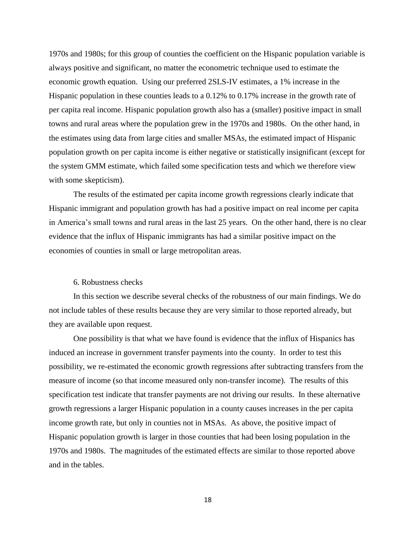1970s and 1980s; for this group of counties the coefficient on the Hispanic population variable is always positive and significant, no matter the econometric technique used to estimate the economic growth equation. Using our preferred 2SLS-IV estimates, a 1% increase in the Hispanic population in these counties leads to a 0.12% to 0.17% increase in the growth rate of per capita real income. Hispanic population growth also has a (smaller) positive impact in small towns and rural areas where the population grew in the 1970s and 1980s. On the other hand, in the estimates using data from large cities and smaller MSAs, the estimated impact of Hispanic population growth on per capita income is either negative or statistically insignificant (except for the system GMM estimate, which failed some specification tests and which we therefore view with some skepticism).

The results of the estimated per capita income growth regressions clearly indicate that Hispanic immigrant and population growth has had a positive impact on real income per capita in America's small towns and rural areas in the last 25 years. On the other hand, there is no clear evidence that the influx of Hispanic immigrants has had a similar positive impact on the economies of counties in small or large metropolitan areas.

#### 6. Robustness checks

In this section we describe several checks of the robustness of our main findings. We do not include tables of these results because they are very similar to those reported already, but they are available upon request.

One possibility is that what we have found is evidence that the influx of Hispanics has induced an increase in government transfer payments into the county. In order to test this possibility, we re-estimated the economic growth regressions after subtracting transfers from the measure of income (so that income measured only non-transfer income). The results of this specification test indicate that transfer payments are not driving our results. In these alternative growth regressions a larger Hispanic population in a county causes increases in the per capita income growth rate, but only in counties not in MSAs. As above, the positive impact of Hispanic population growth is larger in those counties that had been losing population in the 1970s and 1980s. The magnitudes of the estimated effects are similar to those reported above and in the tables.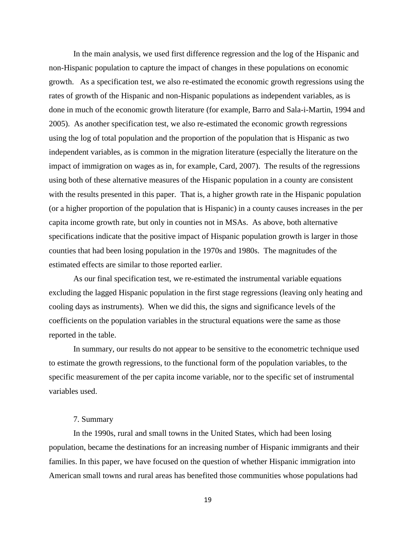In the main analysis, we used first difference regression and the log of the Hispanic and non-Hispanic population to capture the impact of changes in these populations on economic growth. As a specification test, we also re-estimated the economic growth regressions using the rates of growth of the Hispanic and non-Hispanic populations as independent variables, as is done in much of the economic growth literature (for example, Barro and Sala-i-Martin, 1994 and 2005). As another specification test, we also re-estimated the economic growth regressions using the log of total population and the proportion of the population that is Hispanic as two independent variables, as is common in the migration literature (especially the literature on the impact of immigration on wages as in, for example, Card, 2007). The results of the regressions using both of these alternative measures of the Hispanic population in a county are consistent with the results presented in this paper. That is, a higher growth rate in the Hispanic population (or a higher proportion of the population that is Hispanic) in a county causes increases in the per capita income growth rate, but only in counties not in MSAs. As above, both alternative specifications indicate that the positive impact of Hispanic population growth is larger in those counties that had been losing population in the 1970s and 1980s. The magnitudes of the estimated effects are similar to those reported earlier.

As our final specification test, we re-estimated the instrumental variable equations excluding the lagged Hispanic population in the first stage regressions (leaving only heating and cooling days as instruments). When we did this, the signs and significance levels of the coefficients on the population variables in the structural equations were the same as those reported in the table.

In summary, our results do not appear to be sensitive to the econometric technique used to estimate the growth regressions, to the functional form of the population variables, to the specific measurement of the per capita income variable, nor to the specific set of instrumental variables used.

#### 7. Summary

In the 1990s, rural and small towns in the United States, which had been losing population, became the destinations for an increasing number of Hispanic immigrants and their families. In this paper, we have focused on the question of whether Hispanic immigration into American small towns and rural areas has benefited those communities whose populations had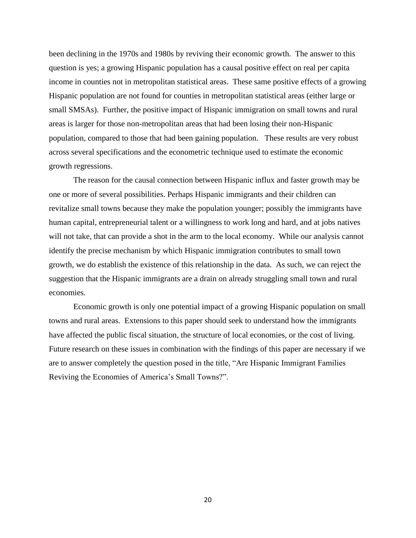been declining in the 1970s and 1980s by reviving their economic growth. The answer to this question is yes; a growing Hispanic population has a causal positive effect on real per capita income in counties not in metropolitan statistical areas. These same positive effects of a growing Hispanic population are not found for counties in metropolitan statistical areas (either large or small SMSAs). Further, the positive impact of Hispanic immigration on small towns and rural areas is larger for those non-metropolitan areas that had been losing their non-Hispanic population, compared to those that had been gaining population. These results are very robust across several specifications and the econometric technique used to estimate the economic growth regressions.

The reason for the causal connection between Hispanic influx and faster growth may be one or more of several possibilities. Perhaps Hispanic immigrants and their children can revitalize small towns because they make the population younger; possibly the immigrants have human capital, entrepreneurial talent or a willingness to work long and hard, and at jobs natives will not take, that can provide a shot in the arm to the local economy. While our analysis cannot identify the precise mechanism by which Hispanic immigration contributes to small town growth, we do establish the existence of this relationship in the data. As such, we can reject the suggestion that the Hispanic immigrants are a drain on already struggling small town and rural economies.

Economic growth is only one potential impact of a growing Hispanic population on small towns and rural areas. Extensions to this paper should seek to understand how the immigrants have affected the public fiscal situation, the structure of local economies, or the cost of living. Future research on these issues in combination with the findings of this paper are necessary if we are to answer completely the question posed in the title, "Are Hispanic Immigrant Families" Reviving the Economies of America's Small Towns?".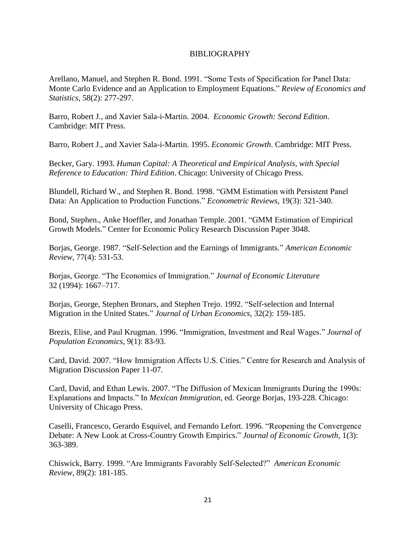# BIBLIOGRAPHY

Arellano, Manuel, and Stephen R. Bond. 1991. "Some Tests of Specification for Panel Data: Monte Carlo Evidence and an Application to Employment Equations." *Review of Economics and Statistics*, 58(2): 277-297.

Barro, Robert J., and Xavier Sala-i-Martin. 2004. *Economic Growth: Second Edition*. Cambridge: MIT Press.

Barro, Robert J., and Xavier Sala-i-Martin. 1995. *Economic Growth*. Cambridge: MIT Press.

Becker, Gary. 1993. *Human Capital: A Theoretical and Empirical Analysis, with Special Reference to Education: Third Edition*. Chicago: University of Chicago Press.

Blundell, Richard W., and Stephen R. Bond. 1998. "GMM Estimation with Persistent Panel Data: An Application to Production Functions." *Econometric Reviews*, 19(3): 321-340.

Bond, Stephen., Anke Hoeffler, and Jonathan Temple. 2001. "GMM Estimation of Empirical Growth Models." Center for Economic Policy Research Discussion Paper 3048.

Borjas, George. 1987. "Self-Selection and the Earnings of Immigrants." *American Economic Review*, 77(4): 531-53.

Borjas, George. "The Economics of Immigration." *Journal of Economic Literature* 32 (1994): 1667–717.

Borjas, George, Stephen Bronars, and Stephen Trejo. 1992. "Self-selection and Internal Migration in the United States.‖ *Journal of Urban Economics*, 32(2): 159-185.

Brezis, Elise, and Paul Krugman. 1996. "Immigration, Investment and Real Wages." *Journal of Population Economics*, 9(1): 83-93.

Card, David. 2007. "How Immigration Affects U.S. Cities." Centre for Research and Analysis of Migration Discussion Paper 11-07.

Card, David, and Ethan Lewis. 2007. "The Diffusion of Mexican Immigrants During the 1990s: Explanations and Impacts.‖ In *Mexican Immigration*, ed. George Borjas, 193-228. Chicago: University of Chicago Press.

Caselli, Francesco, Gerardo Esquivel, and Fernando Lefort. 1996. "Reopening the Convergence Debate: A New Look at Cross-Country Growth Empirics." *Journal of Economic Growth*, 1(3): 363-389.

Chiswick, Barry. 1999. ―Are Immigrants Favorably Self-Selected?‖ *American Economic Review*, 89(2): 181-185.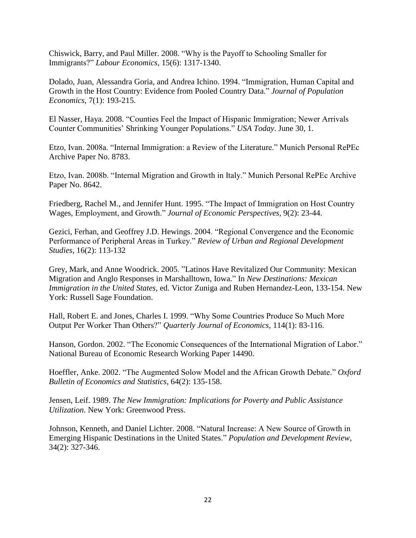Chiswick, Barry, and Paul Miller. 2008. "Why is the Payoff to Schooling Smaller for Immigrants?‖ *Labour Economics*, 15(6): 1317-1340.

Dolado, Juan, Alessandra Goria, and Andrea Ichino. 1994. "Immigration, Human Capital and Growth in the Host Country: Evidence from Pooled Country Data." *Journal of Population Economics*, 7(1): 193-215.

El Nasser, Haya. 2008. "Counties Feel the Impact of Hispanic Immigration; Newer Arrivals Counter Communities' Shrinking Younger Populations.‖ *USA Today*. June 30, 1.

Etzo, Ivan. 2008a. "Internal Immigration: a Review of the Literature." Munich Personal RePEc Archive Paper No. 8783.

Etzo, Ivan. 2008b. "Internal Migration and Growth in Italy." Munich Personal RePEc Archive Paper No. 8642.

Friedberg, Rachel M., and Jennifer Hunt. 1995. "The Impact of Immigration on Host Country Wages, Employment, and Growth." *Journal of Economic Perspectives*, 9(2): 23-44.

Gezici, Ferhan, and Geoffrey J.D. Hewings. 2004. "Regional Convergence and the Economic Performance of Peripheral Areas in Turkey." *Review of Urban and Regional Development Studies*, 16(2): 113-132

Grey, Mark, and Anne Woodrick. 2005. "Latinos Have Revitalized Our Community: Mexican Migration and Anglo Responses in Marshalltown, Iowa." In *New Destinations: Mexican Immigration in the United States*, ed. Victor Zuniga and Ruben Hernandez-Leon, 133-154. New York: Russell Sage Foundation.

Hall, Robert E. and Jones, Charles I. 1999. "Why Some Countries Produce So Much More Output Per Worker Than Others?" *Quarterly Journal of Economics*, 114(1): 83-116.

Hanson, Gordon. 2002. "The Economic Consequences of the International Migration of Labor." National Bureau of Economic Research Working Paper 14490.

Hoeffler, Anke. 2002. "The Augmented Solow Model and the African Growth Debate." Oxford *Bulletin of Economics and Statistics*, 64(2): 135-158.

Jensen, Leif. 1989. *The New Immigration: Implications for Poverty and Public Assistance Utilization.* New York: Greenwood Press.

Johnson, Kenneth, and Daniel Lichter. 2008. "Natural Increase: A New Source of Growth in Emerging Hispanic Destinations in the United States.‖ *Population and Development Review*, 34(2): 327-346.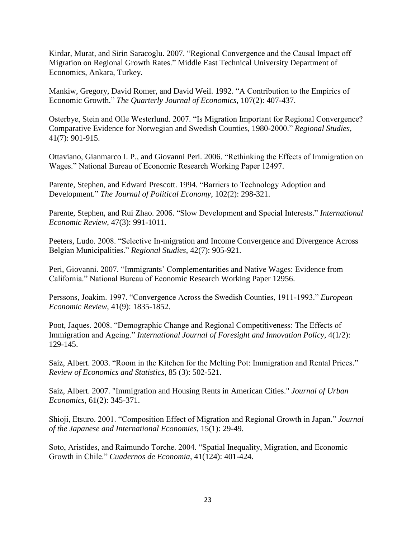Kirdar, Murat, and Sirin Saracoglu. 2007. "Regional Convergence and the Causal Impact off Migration on Regional Growth Rates." Middle East Technical University Department of Economics, Ankara, Turkey.

Mankiw, Gregory, David Romer, and David Weil. 1992. "A Contribution to the Empirics of Economic Growth." *The Quarterly Journal of Economics*, 107(2): 407-437.

Osterbye, Stein and Olle Westerlund. 2007. "Is Migration Important for Regional Convergence? Comparative Evidence for Norwegian and Swedish Counties, 1980-2000." *Regional Studies*, 41(7): 901-915.

Ottaviano, Gianmarco I. P., and Giovanni Peri. 2006. "Rethinking the Effects of Immigration on Wages." National Bureau of Economic Research Working Paper 12497.

Parente, Stephen, and Edward Prescott. 1994. "Barriers to Technology Adoption and Development.‖ *The Journal of Political Economy*, 102(2): 298-321.

Parente, Stephen, and Rui Zhao. 2006. "Slow Development and Special Interests." *International Economic Review*, 47(3): 991-1011.

Peeters, Ludo. 2008. "Selective In-migration and Income Convergence and Divergence Across Belgian Municipalities.‖ *Regional Studies*, 42(7): 905-921.

Peri, Giovanni. 2007. "Immigrants' Complementarities and Native Wages: Evidence from California." National Bureau of Economic Research Working Paper 12956.

Perssons, Joakim. 1997. "Convergence Across the Swedish Counties, 1911-1993." *European Economic Review*, 41(9): 1835-1852.

Poot, Jaques. 2008. "Demographic Change and Regional Competitiveness: The Effects of Immigration and Ageing." *International Journal of Foresight and Innovation Policy*, 4(1/2): 129-145.

Saiz, Albert. 2003. "Room in the Kitchen for the Melting Pot: Immigration and Rental Prices." *Review of Economics and Statistics,* 85 (3): 502-521.

Saiz, Albert. 2007. "Immigration and Housing Rents in American Cities." *Journal of Urban Economics*, 61(2): 345-371.

Shioji, Etsuro. 2001. "Composition Effect of Migration and Regional Growth in Japan." *Journal of the Japanese and International Economies*, 15(1): 29-49.

Soto, Aristides, and Raimundo Torche. 2004. "Spatial Inequality, Migration, and Economic Growth in Chile." *Cuadernos de Economia*, 41(124): 401-424.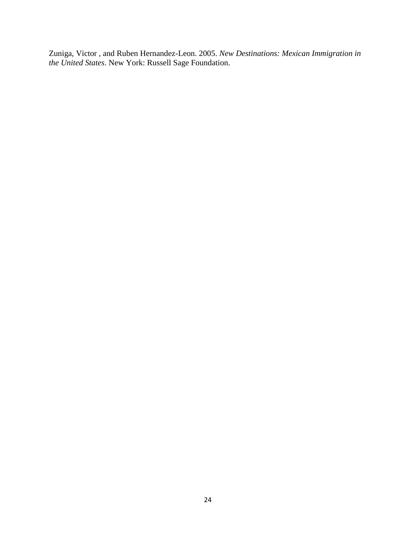Zuniga, Victor , and Ruben Hernandez-Leon. 2005. *New Destinations: Mexican Immigration in the United States*. New York: Russell Sage Foundation.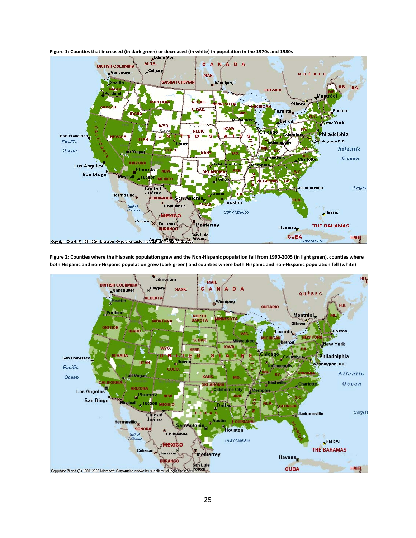

**both Hispanic and non-Hispanic population grew (dark green) and counties where both Hispanic and non-Hispanic population fell (white)**

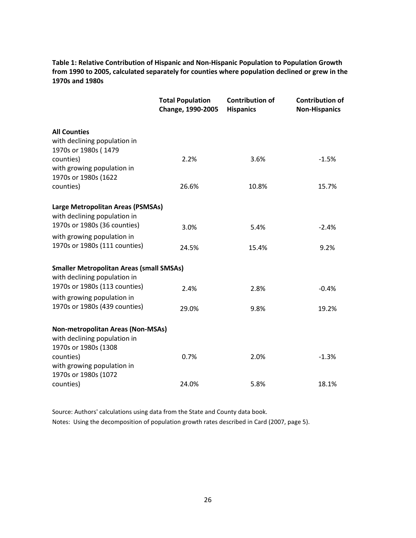**Table 1: Relative Contribution of Hispanic and Non-Hispanic Population to Population Growth from 1990 to 2005, calculated separately for counties where population declined or grew in the 1970s and 1980s**

|                                                                   | <b>Total Population</b><br>Change, 1990-2005 | <b>Contribution of</b><br><b>Hispanics</b> | <b>Contribution of</b><br><b>Non-Hispanics</b> |
|-------------------------------------------------------------------|----------------------------------------------|--------------------------------------------|------------------------------------------------|
| <b>All Counties</b>                                               |                                              |                                            |                                                |
| with declining population in                                      |                                              |                                            |                                                |
| 1970s or 1980s (1479                                              |                                              |                                            |                                                |
| counties)                                                         | 2.2%                                         | 3.6%                                       | $-1.5%$                                        |
| with growing population in                                        |                                              |                                            |                                                |
| 1970s or 1980s (1622                                              |                                              |                                            |                                                |
| counties)                                                         | 26.6%                                        | 10.8%                                      | 15.7%                                          |
| Large Metropolitan Areas (PSMSAs)<br>with declining population in |                                              |                                            |                                                |
| 1970s or 1980s (36 counties)                                      | 3.0%                                         | 5.4%                                       | $-2.4%$                                        |
| with growing population in                                        |                                              |                                            |                                                |
| 1970s or 1980s (111 counties)                                     | 24.5%                                        | 15.4%                                      | 9.2%                                           |
| <b>Smaller Metropolitan Areas (small SMSAs)</b>                   |                                              |                                            |                                                |
| with declining population in                                      |                                              |                                            |                                                |
| 1970s or 1980s (113 counties)                                     | 2.4%                                         | 2.8%                                       | $-0.4%$                                        |
| with growing population in                                        |                                              |                                            |                                                |
| 1970s or 1980s (439 counties)                                     | 29.0%                                        | 9.8%                                       | 19.2%                                          |
| <b>Non-metropolitan Areas (Non-MSAs)</b>                          |                                              |                                            |                                                |
| with declining population in                                      |                                              |                                            |                                                |
| 1970s or 1980s (1308                                              |                                              |                                            |                                                |
| counties)                                                         | 0.7%                                         | 2.0%                                       | $-1.3%$                                        |
| with growing population in                                        |                                              |                                            |                                                |
| 1970s or 1980s (1072                                              |                                              |                                            |                                                |
| counties)                                                         | 24.0%                                        | 5.8%                                       | 18.1%                                          |

Source: Authors' calculations using data from the State and County data book. Notes: Using the decomposition of population growth rates described in Card (2007, page 5).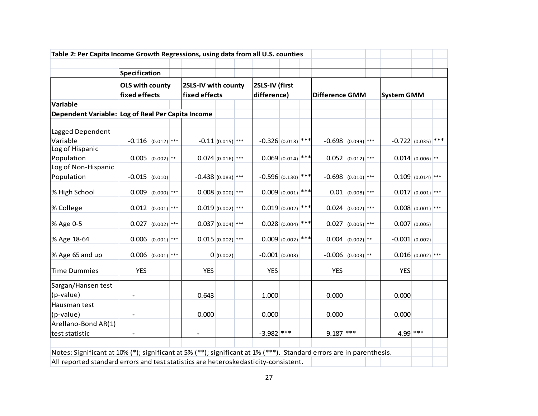| Table 2: Per Capita Income Growth Regressions, using data from all U.S. counties                                                                                                                           |                                                          |                       |                                      |                     |                               |  |                       |                         |  |                      |                       |  |                        |                       |  |
|------------------------------------------------------------------------------------------------------------------------------------------------------------------------------------------------------------|----------------------------------------------------------|-----------------------|--------------------------------------|---------------------|-------------------------------|--|-----------------------|-------------------------|--|----------------------|-----------------------|--|------------------------|-----------------------|--|
|                                                                                                                                                                                                            |                                                          |                       |                                      |                     |                               |  |                       |                         |  |                      |                       |  |                        |                       |  |
|                                                                                                                                                                                                            | Specification<br><b>OLS with county</b><br>fixed effects |                       | 2SLS-IV with county<br>fixed effects |                     | 2SLS-IV (first<br>difference) |  | <b>Difference GMM</b> |                         |  | <b>System GMM</b>    |                       |  |                        |                       |  |
| Variable                                                                                                                                                                                                   |                                                          |                       |                                      |                     |                               |  |                       |                         |  |                      |                       |  |                        |                       |  |
| Dependent Variable: Log of Real Per Capita Income                                                                                                                                                          |                                                          |                       |                                      |                     |                               |  |                       |                         |  |                      |                       |  |                        |                       |  |
| Lagged Dependent<br>Variable                                                                                                                                                                               |                                                          | $-0.116$ (0.012) ***  |                                      |                     | $-0.11(0.015)$ ***            |  | $-0.326(0.013)$ ***   |                         |  | $-0.698$ (0.099) *** |                       |  | $-0.722   (0.035)$ *** |                       |  |
| Log of Hispanic<br>Population                                                                                                                                                                              |                                                          | $0.005$ $(0.002)$ **  |                                      |                     | $0.074$ (0.016) ***           |  |                       | $0.069$ (0.014) ***     |  |                      | $0.052   (0.012)$ *** |  |                        | $0.014   (0.006)$ **  |  |
| Log of Non-Hispanic<br>Population                                                                                                                                                                          |                                                          | $-0.015$ (0.010)      |                                      | $-0.438(0.083)$ *** |                               |  | $-0.596$ (0.130) ***  |                         |  | $-0.698$ (0.010) *** |                       |  |                        | $0.109   (0.014)$ *** |  |
| % High School                                                                                                                                                                                              |                                                          | $0.009$ $(0.000)$ *** |                                      |                     | $0.008(0.000)$ ***            |  |                       | $0.009 _{(0.001)}$ ***  |  |                      | $0.01$ (0.008) ***    |  |                        | $0.017   (0.001)$ *** |  |
| % College                                                                                                                                                                                                  |                                                          | $0.012   (0.001)$ *** |                                      |                     | $0.019(0.002)$ ***            |  |                       | $0.019(0.002)$ ***      |  |                      | $0.024   (0.002)$ *** |  |                        | $0.008   0.001  ***$  |  |
| % Age 0-5                                                                                                                                                                                                  | 0.027                                                    | $(0.002)$ ***         |                                      |                     | $0.037  _{(0.004)}$ ***       |  |                       | $0.028  _{(0.004)}$ *** |  |                      | $0.027$ (0.005) ***   |  |                        | 0.007   (0.005)       |  |
| % Age 18-64                                                                                                                                                                                                |                                                          | $0.006   (0.001)$ *** |                                      |                     | $0.015 _{(0.002)}$ ***        |  |                       | $0.009  _{(0.002)}$ *** |  |                      | $0.004   (0.002)$ **  |  | $-0.001$ (0.002)       |                       |  |
| % Age 65 and up                                                                                                                                                                                            |                                                          | $0.006$ $(0.001)$ *** |                                      |                     | 0(0.002)                      |  | $-0.001$ (0.003)      |                         |  | $-0.006$ (0.003) **  |                       |  |                        | $0.016   (0.002)$ *** |  |
| Time Dummies                                                                                                                                                                                               | <b>YES</b>                                               |                       |                                      | <b>YES</b>          |                               |  | <b>YES</b>            |                         |  | <b>YES</b>           |                       |  | <b>YES</b>             |                       |  |
| Sargan/Hansen test<br>(p-value)                                                                                                                                                                            |                                                          |                       |                                      | 0.643               |                               |  | 1.000                 |                         |  | 0.000                |                       |  | 0.000                  |                       |  |
| Hausman test<br>(p-value)                                                                                                                                                                                  |                                                          |                       |                                      | 0.000               |                               |  | 0.000                 |                         |  | 0.000                |                       |  | 0.000                  |                       |  |
| Arellano-Bond AR(1)<br>test statistic                                                                                                                                                                      |                                                          |                       |                                      |                     |                               |  | $-3.982$ ***          |                         |  | $9.187$ ***          |                       |  | 4.99 ***               |                       |  |
| Notes: Significant at 10% (*); significant at 5% (**); significant at 1% (***). Standard errors are in parenthesis.<br>All reported standard errors and test statistics are heteroskedasticity-consistent. |                                                          |                       |                                      |                     |                               |  |                       |                         |  |                      |                       |  |                        |                       |  |
|                                                                                                                                                                                                            |                                                          |                       |                                      |                     |                               |  |                       |                         |  |                      |                       |  |                        |                       |  |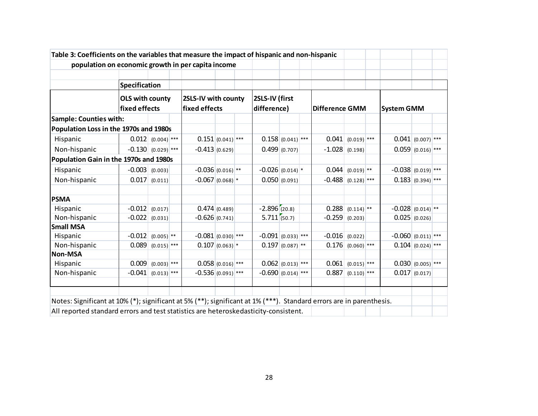| population on economic growth in per capita income                                                                  |                      |                                         |  |                                      |              |                               |                      |                       |                        |                       |                   |                      |                       |  |
|---------------------------------------------------------------------------------------------------------------------|----------------------|-----------------------------------------|--|--------------------------------------|--------------|-------------------------------|----------------------|-----------------------|------------------------|-----------------------|-------------------|----------------------|-----------------------|--|
|                                                                                                                     | Specification        |                                         |  |                                      |              |                               |                      |                       |                        |                       |                   |                      |                       |  |
|                                                                                                                     |                      | <b>OLS with county</b><br>fixed effects |  | 2SLS-IV with county<br>fixed effects |              | 2SLS-IV (first<br>difference) |                      | <b>Difference GMM</b> |                        |                       | <b>System GMM</b> |                      |                       |  |
| <b>Sample: Counties with:</b>                                                                                       |                      |                                         |  |                                      |              |                               |                      |                       |                        |                       |                   |                      |                       |  |
| Population Loss in the 1970s and 1980s                                                                              |                      |                                         |  |                                      |              |                               |                      |                       |                        |                       |                   |                      |                       |  |
| Hispanic                                                                                                            |                      | $0.012   (0.004)$ ***                   |  | $0.151(0.041)$ ***                   |              |                               |                      | $0.158$ (0.041) ***   | 0.041                  | $(0.019)$ ***         |                   |                      | $0.041$ (0.007) ***   |  |
| Non-hispanic                                                                                                        | $-0.130$ (0.029) *** |                                         |  | $-0.413(0.629)$                      |              |                               | 0.499   (0.707)      |                       | $-1.028$               | (0.198)               |                   |                      | $0.059   (0.016)$ *** |  |
| Population Gain in the 1970s and 1980s                                                                              |                      |                                         |  |                                      |              |                               |                      |                       |                        |                       |                   |                      |                       |  |
| Hispanic                                                                                                            | $-0.003   (0.003)$   |                                         |  | $-0.036(0.016)$ **                   |              |                               | $-0.026$ (0.014) *   |                       |                        | $0.044$ $(0.019)$ **  |                   | $-0.038$ (0.019) *** |                       |  |
| Non-hispanic                                                                                                        |                      | $0.017$ $(0.011)$                       |  | $-0.067(0.068)$ *                    |              |                               |                      | 0.050(0.091)          | $-0.488   (0.128)$ *** |                       |                   |                      | $0.183   (0.394)$ *** |  |
| <b>PSMA</b>                                                                                                         |                      |                                         |  |                                      |              |                               |                      |                       |                        |                       |                   |                      |                       |  |
| Hispanic                                                                                                            | $-0.012   (0.017)$   |                                         |  |                                      | 0.474(0.489) |                               | $-2.896(20.8)$       |                       |                        | $0.288$ $(0.114)$ **  |                   | $-0.028$ (0.014) **  |                       |  |
| Non-hispanic                                                                                                        | $-0.022   (0.031)$   |                                         |  | $-0.626(0.741)$                      |              |                               | 5.711(50.7)          |                       | $-0.259$               | (0.203)               |                   |                      | 0.025   (0.026)       |  |
| <b>Small MSA</b>                                                                                                    |                      |                                         |  |                                      |              |                               |                      |                       |                        |                       |                   |                      |                       |  |
| Hispanic                                                                                                            | $-0.012$             | $(0.005)$ <sup>**</sup>                 |  | $-0.081(0.030)$ ***                  |              |                               | $-0.091$ (0.033) *** |                       | $-0.016$               | (0.022)               |                   | $-0.060$ (0.011) *** |                       |  |
| Non-hispanic                                                                                                        | 0.089                | $(0.015)$ <sup>***</sup>                |  | $0.107(0.063)*$                      |              |                               |                      | $0.197   (0.087)$ **  |                        | $0.176$ (0.060) ***   |                   |                      | $0.104   (0.024)$ *** |  |
| <b>Non-MSA</b>                                                                                                      |                      |                                         |  |                                      |              |                               |                      |                       |                        |                       |                   |                      |                       |  |
| Hispanic                                                                                                            | 0.009                | $(0.003)^{***}$                         |  | $0.058(0.016)$ ***                   |              |                               |                      | $0.062   (0.013)$ *** | 0.061                  | $(0.015)$ ***         |                   |                      | $0.030   (0.005)$ *** |  |
| Non-hispanic                                                                                                        | $-0.041$ (0.013) *** |                                         |  | $-0.536(0.091)$ ***                  |              |                               | $-0.690 0.014 $ ***  |                       |                        | $0.887   (0.110)$ *** |                   |                      | 0.017   (0.017)       |  |
|                                                                                                                     |                      |                                         |  |                                      |              |                               |                      |                       |                        |                       |                   |                      |                       |  |
| Notes: Significant at 10% (*); significant at 5% (**); significant at 1% (***). Standard errors are in parenthesis. |                      |                                         |  |                                      |              |                               |                      |                       |                        |                       |                   |                      |                       |  |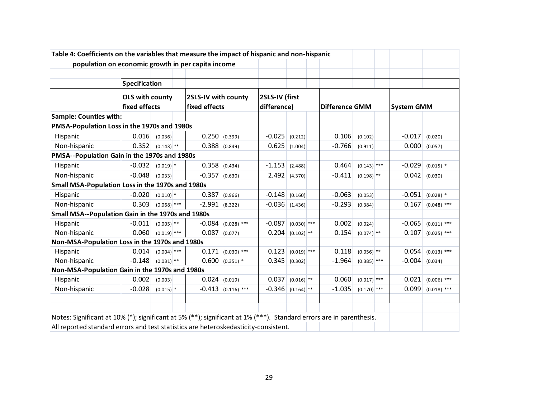| Table 4: Coefficients on the variables that measure the impact of hispanic and non-hispanic                         |                                         |                          |                                      |                          |  |                               |                         |                       |                         |  |                   |                          |  |
|---------------------------------------------------------------------------------------------------------------------|-----------------------------------------|--------------------------|--------------------------------------|--------------------------|--|-------------------------------|-------------------------|-----------------------|-------------------------|--|-------------------|--------------------------|--|
| population on economic growth in per capita income                                                                  |                                         |                          |                                      |                          |  |                               |                         |                       |                         |  |                   |                          |  |
|                                                                                                                     | Specification                           |                          |                                      |                          |  |                               |                         |                       |                         |  |                   |                          |  |
|                                                                                                                     | <b>OLS with county</b><br>fixed effects |                          | 2SLS-IV with county<br>fixed effects |                          |  | 2SLS-IV (first<br>difference) |                         | <b>Difference GMM</b> |                         |  | <b>System GMM</b> |                          |  |
| <b>Sample: Counties with:</b>                                                                                       |                                         |                          |                                      |                          |  |                               |                         |                       |                         |  |                   |                          |  |
| PMSA-Population Loss in the 1970s and 1980s                                                                         |                                         |                          |                                      |                          |  |                               |                         |                       |                         |  |                   |                          |  |
| Hispanic                                                                                                            | 0.016                                   | (0.036)                  | 0.250                                | (0.399)                  |  | $-0.025$                      | (0.212)                 | 0.106                 | (0.102)                 |  | $-0.017$          | (0.020)                  |  |
| Non-hispanic                                                                                                        | 0.352                                   | $(0.143)$ <sup>**</sup>  | 0.388                                | (0.849)                  |  | 0.625                         | (1.004)                 | $-0.766$              | (0.911)                 |  | 0.000             | (0.057)                  |  |
| PMSA--Population Gain in the 1970s and 1980s                                                                        |                                         |                          |                                      |                          |  |                               |                         |                       |                         |  |                   |                          |  |
| Hispanic                                                                                                            | $-0.032$                                | $(0.019)$ *              | 0.358   (0.434)                      |                          |  | $-1.153$                      | (2.488)                 | 0.464                 | $(0.143)$ ***           |  | $-0.029$          | $(0.015)^{*}$            |  |
| Non-hispanic                                                                                                        | $-0.048$                                | (0.033)                  | $-0.357$                             | (0.630)                  |  | 2.492                         | (4.370)                 | $-0.411$              | $(0.198)$ <sup>**</sup> |  | 0.042             | (0.030)                  |  |
| Small MSA-Population Loss in the 1970s and 1980s                                                                    |                                         |                          |                                      |                          |  |                               |                         |                       |                         |  |                   |                          |  |
| Hispanic                                                                                                            | $-0.020$                                | $(0.010)$ <sup>*</sup>   | 0.387                                | (0.966)                  |  | $-0.148$                      | (0.160)                 | $-0.063$              | (0.053)                 |  | $-0.051$          | $(0.028)$ *              |  |
| Non-hispanic                                                                                                        | 0.303                                   | $(0.068)$ <sup>***</sup> | $-2.991$                             | (8.322)                  |  | $-0.036$                      | (1.436)                 | $-0.293$              | (0.384)                 |  | 0.167             | $(0.048)$ ***            |  |
| Small MSA--Population Gain in the 1970s and 1980s                                                                   |                                         |                          |                                      |                          |  |                               |                         |                       |                         |  |                   |                          |  |
| Hispanic                                                                                                            | $-0.011$                                | $(0.005)$ <sup>**</sup>  | $-0.084$                             | $(0.028)$ <sup>***</sup> |  | $-0.087$                      | $(0.030)$ ***           | 0.002                 | (0.024)                 |  | $-0.065$          | $(0.011)$ ***            |  |
| Non-hispanic                                                                                                        | 0.060                                   | $(0.019)$ ***            | 0.087                                | (0.077)                  |  | 0.204                         | $(0.102)$ **            | 0.154                 | $(0.074)$ <sup>**</sup> |  | 0.107             | $(0.025)$ ***            |  |
| Non-MSA-Population Loss in the 1970s and 1980s                                                                      |                                         |                          |                                      |                          |  |                               |                         |                       |                         |  |                   |                          |  |
| Hispanic                                                                                                            | 0.014                                   | $(0.004)$ <sup>***</sup> | 0.171                                | $(0.030)$ ***            |  | 0.123                         | $(0.019)$ ***           | 0.118                 | $(0.056)$ **            |  | 0.054             | $(0.013)$ ***            |  |
| Non-hispanic                                                                                                        | $-0.148$                                | $(0.031)$ **             | 0.600                                | $(0.351)$ *              |  | 0.345                         | (0.302)                 | $-1.964$              | $(0.385)$ ***           |  | $-0.004$          | (0.034)                  |  |
| Non-MSA-Population Gain in the 1970s and 1980s                                                                      |                                         |                          |                                      |                          |  |                               |                         |                       |                         |  |                   |                          |  |
| Hispanic                                                                                                            | 0.002                                   | (0.003)                  | 0.024                                | (0.019)                  |  | 0.037                         | $(0.016)$ <sup>**</sup> | 0.060                 | $(0.017)$ ***           |  | 0.021             | $(0.006)$ <sup>***</sup> |  |
| Non-hispanic                                                                                                        | $-0.028$                                | $(0.015)$ <sup>*</sup>   | $-0.413   (0.116)$ ***               |                          |  | $-0.346$                      | $(0.164)$ <sup>**</sup> | $-1.035$              | $(0.170)$ ***           |  | 0.099             | $(0.018)$ ***            |  |
|                                                                                                                     |                                         |                          |                                      |                          |  |                               |                         |                       |                         |  |                   |                          |  |
| Notes: Significant at 10% (*); significant at 5% (**); significant at 1% (***). Standard errors are in parenthesis. |                                         |                          |                                      |                          |  |                               |                         |                       |                         |  |                   |                          |  |
| All reported standard errors and test statistics are heteroskedasticity-consistent.                                 |                                         |                          |                                      |                          |  |                               |                         |                       |                         |  |                   |                          |  |